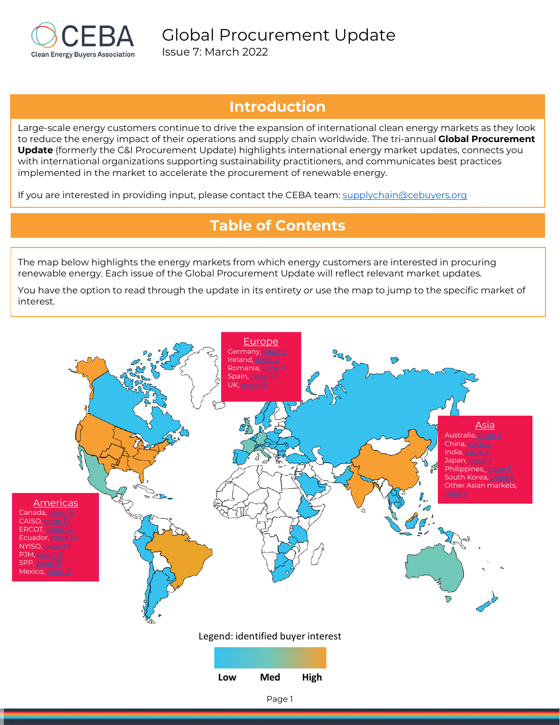

# **Introduction**

Large-scale energy customers continue to drive the expansion of international clean energy markets as they look to reduce the energy impact of their operations and supply chain worldwide. The tri-annual **Global Procurement Update** (formerly the C&I Procurement Update) highlights international energy market updates, connects you with international organizations supporting sustainability practitioners, and communicates best practices implemented in the market to accelerate the procurement of renewable energy.

If you are interested in providing input, please contact the CEBA team: [supplychain@cebuyers.org](mailto:supplychain@cebuyers.org)

# **Table of Contents**

The map below highlights the energy markets from which energy customers are interested in procuring renewable energy. Each issue of the Global Procurement Update will reflect relevant market updates.

You have the option to read through the update in its entirety *or* use the map to jump to the specific market of interest.

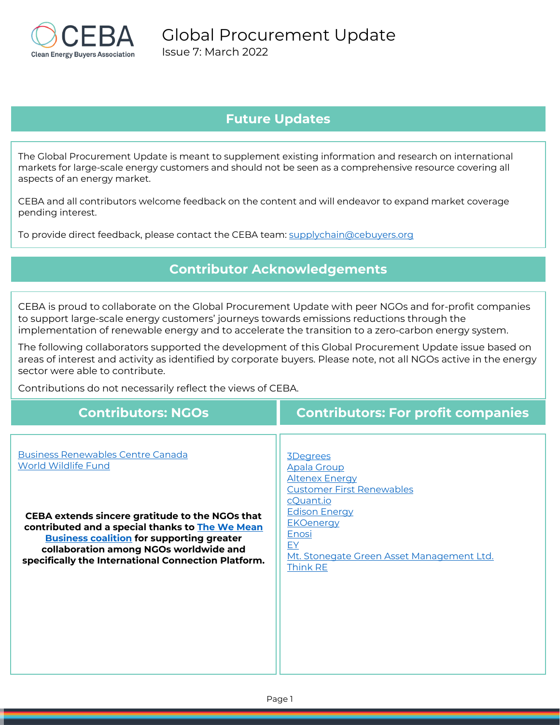

# **Future Updates**

The Global Procurement Update is meant to supplement existing information and research on international markets for large-scale energy customers and should not be seen as a comprehensive resource covering all aspects of an energy market.

CEBA and all contributors welcome feedback on the content and will endeavor to expand market coverage pending interest.

To provide direct feedback, please contact the CEBA team: [supplychain@cebuyers.org](mailto:supplychain@cebuyers.org)

# **Contributor Acknowledgements**

CEBA is proud to collaborate on the Global Procurement Update with peer NGOs and for-profit companies to support large-scale energy customers' journeys towards emissions reductions through the implementation of renewable energy and to accelerate the transition to a zero-carbon energy system.

The following collaborators supported the development of this Global Procurement Update issue based on areas of interest and activity as identified by corporate buyers. Please note, not all NGOs active in the energy sector were able to contribute.

Contributions do not necessarily reflect the views of CEBA.

| <b>Contributors: NGOs</b>                                                                                                                                                                                                                                                                                                         | <b>Contributors: For profit companies</b>                                                                                                                                                                                                  |
|-----------------------------------------------------------------------------------------------------------------------------------------------------------------------------------------------------------------------------------------------------------------------------------------------------------------------------------|--------------------------------------------------------------------------------------------------------------------------------------------------------------------------------------------------------------------------------------------|
| <b>Business Renewables Centre Canada</b><br><b>World Wildlife Fund</b><br>CEBA extends sincere gratitude to the NGOs that<br>contributed and a special thanks to The We Mean<br><b>Business coalition for supporting greater</b><br>collaboration among NGOs worldwide and<br>specifically the International Connection Platform. | 3Degrees<br><b>Apala Group</b><br><b>Altenex Energy</b><br><b>Customer First Renewables</b><br>cQuant.io<br><b>Edison Energy</b><br><b>EKOenergy</b><br>Enosi<br><u>EY</u><br>Mt. Stonegate Green Asset Management Ltd.<br><b>Think RE</b> |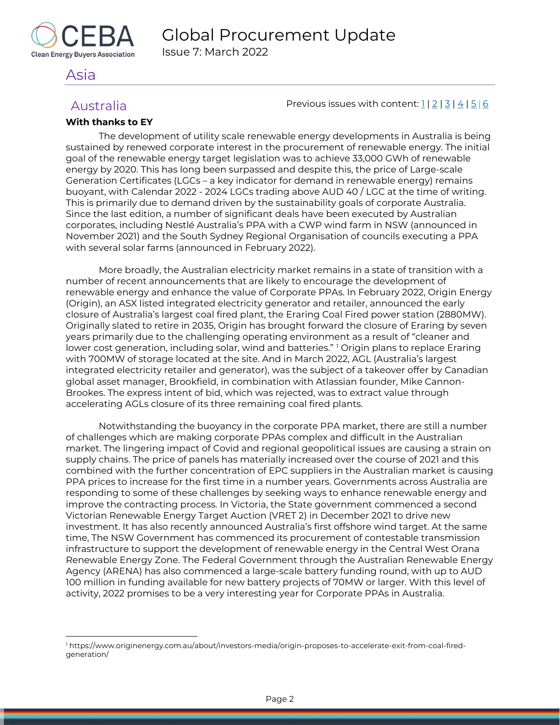

# <span id="page-2-0"></span>Asia

<span id="page-2-1"></span>Australia  $\frac{12}{3}$  Previous issues with content:  $\frac{1}{2}$  |  $\frac{3}{4}$  |  $\frac{5}{6}$  $\frac{5}{6}$  $\frac{5}{6}$ 

### **With thanks to EY**

The development of utility scale renewable energy developments in Australia is being sustained by renewed corporate interest in the procurement of renewable energy. The initial goal of the renewable energy target legislation was to achieve 33,000 GWh of renewable energy by 2020. This has long been surpassed and despite this, the price of Large-scale Generation Certificates (LGCs – a key indicator for demand in renewable energy) remains buoyant, with Calendar 2022 - 2024 LGCs trading above AUD 40 / LGC at the time of writing. This is primarily due to demand driven by the sustainability goals of corporate Australia. Since the last edition, a number of significant deals have been executed by Australian corporates, including Nestlé Australia's PPA with a CWP wind farm in NSW (announced in November 2021) and the South Sydney Regional Organisation of councils executing a PPA with several solar farms (announced in February 2022).

More broadly, the Australian electricity market remains in a state of transition with a number of recent announcements that are likely to encourage the development of renewable energy and enhance the value of Corporate PPAs. In February 2022, Origin Energy (Origin), an ASX listed integrated electricity generator and retailer, announced the early closure of Australia's largest coal fired plant, the Eraring Coal Fired power station (2880MW). Originally slated to retire in 2035, Origin has brought forward the closure of Eraring by seven years primarily due to the challenging operating environment as a result of "cleaner and lower cost generation, including solar, wind and batteries." <sup>[1](#page-2-2)</sup> Origin plans to replace Eraring with 700MW of storage located at the site. And in March 2022, AGL (Australia's largest integrated electricity retailer and generator), was the subject of a takeover offer by Canadian global asset manager, Brookfield, in combination with Atlassian founder, Mike Cannon-Brookes. The express intent of bid, which was rejected, was to extract value through accelerating AGLs closure of its three remaining coal fired plants.

Notwithstanding the buoyancy in the corporate PPA market, there are still a number of challenges which are making corporate PPAs complex and difficult in the Australian market. The lingering impact of Covid and regional geopolitical issues are causing a strain on supply chains. The price of panels has materially increased over the course of 2021 and this combined with the further concentration of EPC suppliers in the Australian market is causing PPA prices to increase for the first time in a number years. Governments across Australia are responding to some of these challenges by seeking ways to enhance renewable energy and improve the contracting process. In Victoria, the State government commenced a second Victorian Renewable Energy Target Auction (VRET 2) in December 2021 to drive new investment. It has also recently announced Australia's first offshore wind target. At the same time, The NSW Government has commenced its procurement of contestable transmission infrastructure to support the development of renewable energy in the Central West Orana Renewable Energy Zone. The Federal Government through the Australian Renewable Energy Agency (ARENA) has also commenced a large-scale battery funding round, with up to AUD 100 million in funding available for new battery projects of 70MW or larger. With this level of activity, 2022 promises to be a very interesting year for Corporate PPAs in Australia.

<span id="page-2-2"></span><sup>1</sup> https://www.originenergy.com.au/about/investors-media/origin-proposes-to-accelerate-exit-from-coal-firedgeneration/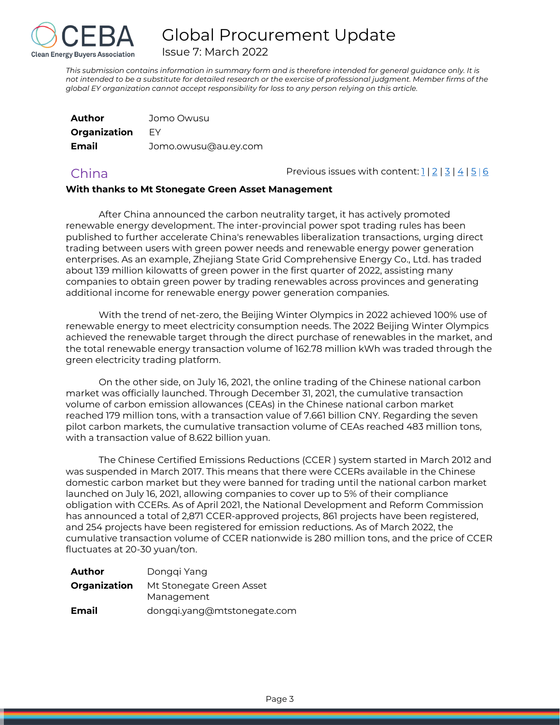

Issue 7: March 2022

*This submission contains information in summary form and is therefore intended for general guidance only. It is not intended to be a substitute for detailed research or the exercise of professional judgment. Member firms of the global EY organization cannot accept responsibility for loss to any person relying on this article.*

| Author       | Jomo Owusu           |
|--------------|----------------------|
| Organization | FY                   |
| Email        | Jomo.owusu@au.ey.com |

<span id="page-3-0"></span>China China Previous issues with content:  $1 | 2 | 3 | 4 | 5 | 6$  $1 | 2 | 3 | 4 | 5 | 6$  $1 | 2 | 3 | 4 | 5 | 6$  $1 | 2 | 3 | 4 | 5 | 6$  $1 | 2 | 3 | 4 | 5 | 6$  $1 | 2 | 3 | 4 | 5 | 6$  $1 | 2 | 3 | 4 | 5 | 6$  $1 | 2 | 3 | 4 | 5 | 6$  $1 | 2 | 3 | 4 | 5 | 6$  $1 | 2 | 3 | 4 | 5 | 6$ 

#### **With thanks to Mt Stonegate Green Asset Management**

After China announced the carbon neutrality target, it has actively promoted renewable energy development. The inter-provincial power spot trading rules has been published to further accelerate China's renewables liberalization transactions, urging direct trading between users with green power needs and renewable energy power generation enterprises. As an example, Zhejiang State Grid Comprehensive Energy Co., Ltd. has traded about 139 million kilowatts of green power in the first quarter of 2022, assisting many companies to obtain green power by trading renewables across provinces and generating additional income for renewable energy power generation companies.

With the trend of net-zero, the Beijing Winter Olympics in 2022 achieved 100% use of renewable energy to meet electricity consumption needs. The 2022 Beijing Winter Olympics achieved the renewable target through the direct purchase of renewables in the market, and the total renewable energy transaction volume of 162.78 million kWh was traded through the green electricity trading platform.

On the other side, on July 16, 2021, the online trading of the Chinese national carbon market was officially launched. Through December 31, 2021, the cumulative transaction volume of carbon emission allowances (CEAs) in the Chinese national carbon market reached 179 million tons, with a transaction value of 7.661 billion CNY. Regarding the seven pilot carbon markets, the cumulative transaction volume of CEAs reached 483 million tons, with a transaction value of 8.622 billion yuan.

The Chinese Certified Emissions Reductions (CCER ) system started in March 2012 and was suspended in March 2017. This means that there were CCERs available in the Chinese domestic carbon market but they were banned for trading until the national carbon market launched on July 16, 2021, allowing companies to cover up to 5% of their compliance obligation with CCERs. As of April 2021, the National Development and Reform Commission has announced a total of 2,871 CCER-approved projects, 861 projects have been registered, and 254 projects have been registered for emission reductions. As of March 2022, the cumulative transaction volume of CCER nationwide is 280 million tons, and the price of CCER fluctuates at 20-30 yuan/ton.

| Author       | Donggi Yang                            |
|--------------|----------------------------------------|
| Organization | Mt Stonegate Green Asset<br>Management |
| Email        | dongqi.yang@mtstonegate.com            |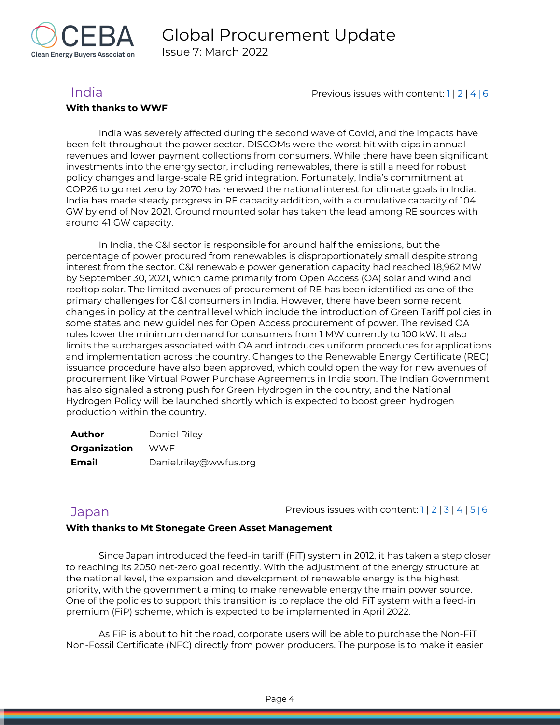

#### **With thanks to WWF**

<span id="page-4-0"></span>India **India** Previous issues with content[: 1](https://reba2019dev.wpengine.com/wp-content/uploads/2020/02/REBA-CI-Procurement-Update_Feb-2020-1.pdf) | [2](https://rebuyers.org/wp-content/uploads/2020/07/C_I_Procurement_Update_Issue_2.pdf) | [4](https://rebuyers.org/wp-content/uploads/2021/03/REBA_C_I_Procurement_Update_02_21.pdf) | [6](https://cebuyers.org/wp-content/uploads/2021/12/Global-Procurement-Update-Issue-6.pdf)

India was severely affected during the second wave of Covid, and the impacts have been felt throughout the power sector. DISCOMs were the worst hit with dips in annual revenues and lower payment collections from consumers. While there have been significant investments into the energy sector, including renewables, there is still a need for robust policy changes and large-scale RE grid integration. Fortunately, India's commitment at COP26 to go net zero by 2070 has renewed the national interest for climate goals in India. India has made steady progress in RE capacity addition, with a cumulative capacity of 104 GW by end of Nov 2021. Ground mounted solar has taken the lead among RE sources with around 41 GW capacity.

In India, the C&I sector is responsible for around half the emissions, but the percentage of power procured from renewables is disproportionately small despite strong interest from the sector. C&I renewable power generation capacity had reached 18,962 MW by September 30, 2021, which came primarily from Open Access (OA) solar and wind and rooftop solar. The limited avenues of procurement of RE has been identified as one of the primary challenges for C&I consumers in India. However, there have been some recent changes in policy at the central level which include the introduction of Green Tariff policies in some states and new guidelines for Open Access procurement of power. The revised OA rules lower the minimum demand for consumers from 1 MW currently to 100 kW. It also limits the surcharges associated with OA and introduces uniform procedures for applications and implementation across the country. Changes to the Renewable Energy Certificate (REC) issuance procedure have also been approved, which could open the way for new avenues of procurement like Virtual Power Purchase Agreements in India soon. The Indian Government has also signaled a strong push for Green Hydrogen in the country, and the National Hydrogen Policy will be launched shortly which is expected to boost green hydrogen production within the country.

| <b>Author</b> | Daniel Riley           |
|---------------|------------------------|
| Organization  | <b>WWF</b>             |
| <b>Email</b>  | Daniel.riley@wwfus.org |

<span id="page-4-1"></span>Japan  $Jap$  Previous issues with content:  $1 | 2 | 3 | 4 | 5 | 6$  $1 | 2 | 3 | 4 | 5 | 6$  $1 | 2 | 3 | 4 | 5 | 6$  $1 | 2 | 3 | 4 | 5 | 6$  $1 | 2 | 3 | 4 | 5 | 6$  $1 | 2 | 3 | 4 | 5 | 6$  $1 | 2 | 3 | 4 | 5 | 6$  $1 | 2 | 3 | 4 | 5 | 6$  $1 | 2 | 3 | 4 | 5 | 6$  $1 | 2 | 3 | 4 | 5 | 6$ 

### **With thanks to Mt Stonegate Green Asset Management**

Since Japan introduced the feed-in tariff (FiT) system in 2012, it has taken a step closer to reaching its 2050 net-zero goal recently. With the adjustment of the energy structure at the national level, the expansion and development of renewable energy is the highest priority, with the government aiming to make renewable energy the main power source. One of the policies to support this transition is to replace the old FiT system with a feed-in premium (FiP) scheme, which is expected to be implemented in April 2022.

As FiP is about to hit the road, corporate users will be able to purchase the Non-FiT Non-Fossil Certificate (NFC) directly from power producers. The purpose is to make it easier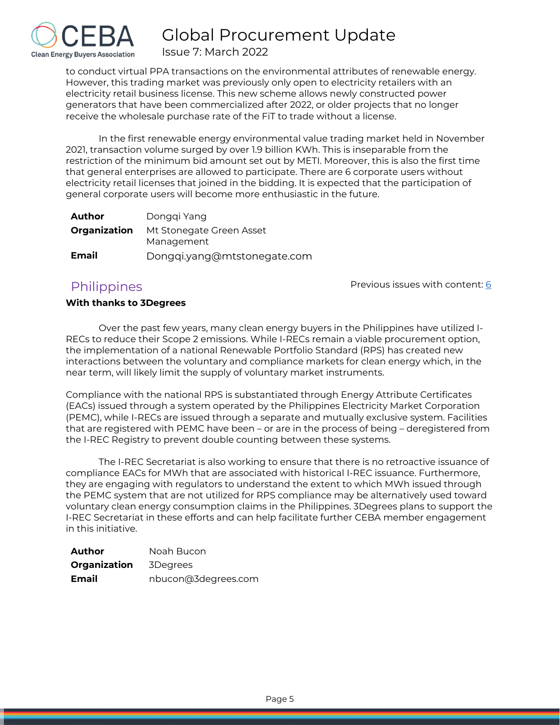

Issue 7: March 2022

to conduct virtual PPA transactions on the environmental attributes of renewable energy. However, this trading market was previously only open to electricity retailers with an electricity retail business license. This new scheme allows newly constructed power generators that have been commercialized after 2022, or older projects that no longer receive the wholesale purchase rate of the FiT to trade without a license.

In the first renewable energy environmental value trading market held in November 2021, transaction volume surged by over 1.9 billion KWh. This is inseparable from the restriction of the minimum bid amount set out by METI. Moreover, this is also the first time that general enterprises are allowed to participate. There are 6 corporate users without electricity retail licenses that joined in the bidding. It is expected that the participation of general corporate users will become more enthusiastic in the future.

| Author | Donggi Yang                                                |
|--------|------------------------------------------------------------|
|        | <b>Organization</b> Mt Stonegate Green Asset<br>Management |
| Email  | Dongqi.yang@mtstonegate.com                                |

# <span id="page-5-0"></span>**Philippines**

Previous issues with content: [6](https://cebuyers.org/wp-content/uploads/2021/12/Global-Procurement-Update-Issue-6.pdf)

### **With thanks to 3Degrees**

Over the past few years, many clean energy buyers in the Philippines have utilized I-RECs to reduce their Scope 2 emissions. While I-RECs remain a viable procurement option, the implementation of a national Renewable Portfolio Standard (RPS) has created new interactions between the voluntary and compliance markets for clean energy which, in the near term, will likely limit the supply of voluntary market instruments.

Compliance with the national RPS is substantiated through Energy Attribute Certificates (EACs) issued through a system operated by the Philippines Electricity Market Corporation (PEMC), while I-RECs are issued through a separate and mutually exclusive system. Facilities that are registered with PEMC have been – or are in the process of being – deregistered from the I-REC Registry to prevent double counting between these systems.

The I-REC Secretariat is also working to ensure that there is no retroactive issuance of compliance EACs for MWh that are associated with historical I-REC issuance. Furthermore, they are engaging with regulators to understand the extent to which MWh issued through the PEMC system that are not utilized for RPS compliance may be alternatively used toward voluntary clean energy consumption claims in the Philippines. 3Degrees plans to support the I-REC Secretariat in these efforts and can help facilitate further CEBA member engagement in this initiative.

| Author       | Noah Bucon          |
|--------------|---------------------|
| Organization | 3Degrees            |
| Email        | nbucon@3degrees.com |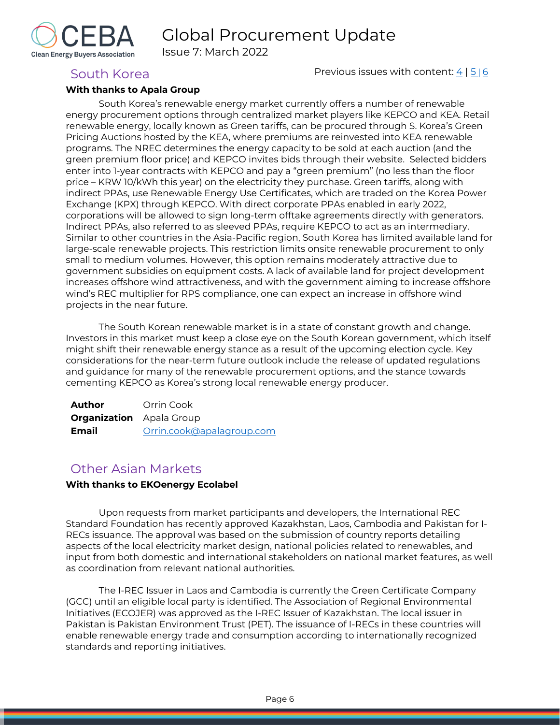Issue 7: March 2022



<span id="page-6-0"></span>South Korea **Previous issues with content: [4](https://rebuyers.org/wp-content/uploads/2021/03/REBA_C_I_Procurement_Update_02_21.pdf) | [5](https://cebuyers.org/wp-content/uploads/2021/07/C.I.Procurement.Update_Issue.5.pdf) | [6](https://cebuyers.org/wp-content/uploads/2021/12/Global-Procurement-Update-Issue-6.pdf)** 

#### **With thanks to Apala Group**

South Korea's renewable energy market currently offers a number of renewable energy procurement options through centralized market players like KEPCO and KEA. Retail renewable energy, locally known as Green tariffs, can be procured through S. Korea's Green Pricing Auctions hosted by the KEA, where premiums are reinvested into KEA renewable programs. The NREC determines the energy capacity to be sold at each auction (and the green premium floor price) and KEPCO invites bids through their website. Selected bidders enter into 1-year contracts with KEPCO and pay a "green premium" (no less than the floor price – KRW 10/kWh this year) on the electricity they purchase. Green tariffs, along with indirect PPAs, use Renewable Energy Use Certificates, which are traded on the Korea Power Exchange (KPX) through KEPCO. With direct corporate PPAs enabled in early 2022, corporations will be allowed to sign long-term offtake agreements directly with generators. Indirect PPAs, also referred to as sleeved PPAs, require KEPCO to act as an intermediary. Similar to other countries in the Asia-Pacific region, South Korea has limited available land for large-scale renewable projects. This restriction limits onsite renewable procurement to only small to medium volumes. However, this option remains moderately attractive due to government subsidies on equipment costs. A lack of available land for project development increases offshore wind attractiveness, and with the government aiming to increase offshore wind's REC multiplier for RPS compliance, one can expect an increase in offshore wind projects in the near future.

The South Korean renewable market is in a state of constant growth and change. Investors in this market must keep a close eye on the South Korean government, which itself might shift their renewable energy stance as a result of the upcoming election cycle. Key considerations for the near-term future outlook include the release of updated regulations and guidance for many of the renewable procurement options, and the stance towards cementing KEPCO as Korea's strong local renewable energy producer.

| <b>Author</b>                   | Orrin Cook                |
|---------------------------------|---------------------------|
| <b>Organization</b> Apala Group |                           |
| Email                           | Orrin.cook@apalagroup.com |

# <span id="page-6-1"></span>Other Asian Markets

#### **With thanks to EKOenergy Ecolabel**

Upon requests from market participants and developers, the International REC Standard Foundation has recently approved Kazakhstan, Laos, Cambodia and Pakistan for I-RECs issuance. The approval was based on the submission of country reports detailing aspects of the local electricity market design, national policies related to renewables, and input from both domestic and international stakeholders on national market features, as well as coordination from relevant national authorities.

The I-REC Issuer in Laos and Cambodia is currently the Green Certificate Company (GCC) until an eligible local party is identified. The Association of Regional Environmental Initiatives (ECOJER) was approved as the I-REC Issuer of Kazakhstan. The local issuer in Pakistan is Pakistan Environment Trust (PET). The issuance of I-RECs in these countries will enable renewable energy trade and consumption according to internationally recognized standards and reporting initiatives.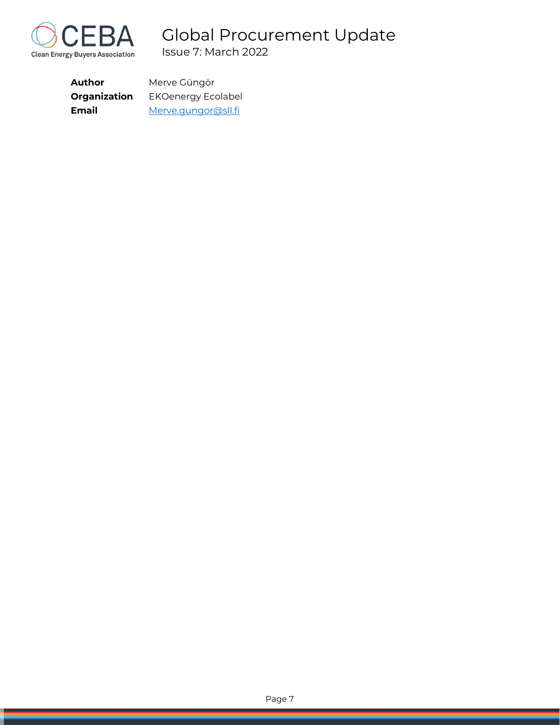

<span id="page-7-0"></span>

| Author       | Merve Güngör        |
|--------------|---------------------|
| Organization | EKOenergy Ecolabel  |
| <b>Email</b> | Merve.gungor@sll.fi |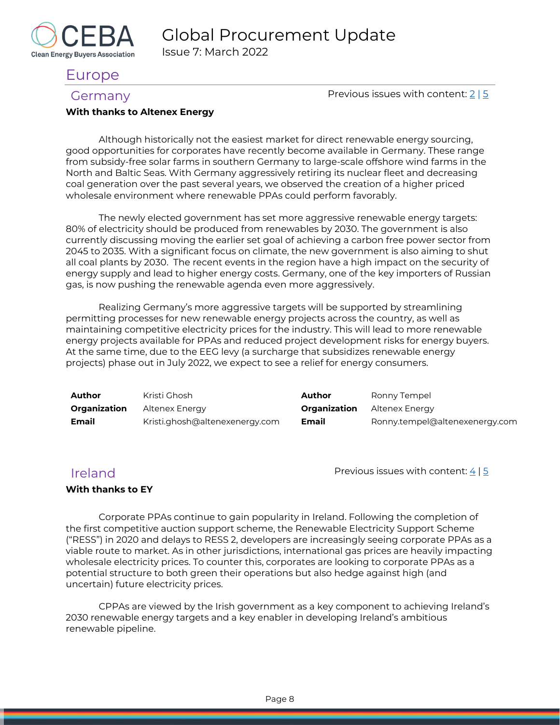

# Europe

Clean Energy Buyers Association

<span id="page-8-0"></span>Germany  $\frac{2}{5}$  $\frac{2}{5}$  $\frac{2}{5}$ 

#### **With thanks to Altenex Energy**

Although historically not the easiest market for direct renewable energy sourcing, good opportunities for corporates have recently become available in Germany. These range from subsidy-free solar farms in southern Germany to large-scale offshore wind farms in the North and Baltic Seas. With Germany aggressively retiring its nuclear fleet and decreasing coal generation over the past several years, we observed the creation of a higher priced wholesale environment where renewable PPAs could perform favorably.

The newly elected government has set more aggressive renewable energy targets: 80% of electricity should be produced from renewables by 2030. The government is also currently discussing moving the earlier set goal of achieving a carbon free power sector from 2045 to 2035. With a significant focus on climate, the new government is also aiming to shut all coal plants by 2030. The recent events in the region have a high impact on the security of energy supply and lead to higher energy costs. Germany, one of the key importers of Russian gas, is now pushing the renewable agenda even more aggressively.

Realizing Germany's more aggressive targets will be supported by streamlining permitting processes for new renewable energy projects across the country, as well as maintaining competitive electricity prices for the industry. This will lead to more renewable energy projects available for PPAs and reduced project development risks for energy buyers. At the same time, due to the EEG levy (a surcharge that subsidizes renewable energy projects) phase out in July 2022, we expect to see a relief for energy consumers.

| Author              | Kristi Ghosh                   | Author       | Ronny Tempel                   |
|---------------------|--------------------------------|--------------|--------------------------------|
| <b>Organization</b> | Altenex Energy                 | Organization | Altenex Enerav                 |
| <b>Email</b>        | Kristi.ghosh@altenexenergy.com | <b>Email</b> | Ronny.tempel@altenexenergy.com |

<span id="page-8-1"></span> $I$ reland Previous issues with content:  $4 | 5$  $4 | 5$ 

### **With thanks to EY**

Corporate PPAs continue to gain popularity in Ireland. Following the completion of the first competitive auction support scheme, the Renewable Electricity Support Scheme ("RESS") in 2020 and delays to RESS 2, developers are increasingly seeing corporate PPAs as a viable route to market. As in other jurisdictions, international gas prices are heavily impacting wholesale electricity prices. To counter this, corporates are looking to corporate PPAs as a potential structure to both green their operations but also hedge against high (and uncertain) future electricity prices.

CPPAs are viewed by the Irish government as a key component to achieving Ireland's 2030 renewable energy targets and a key enabler in developing Ireland's ambitious renewable pipeline.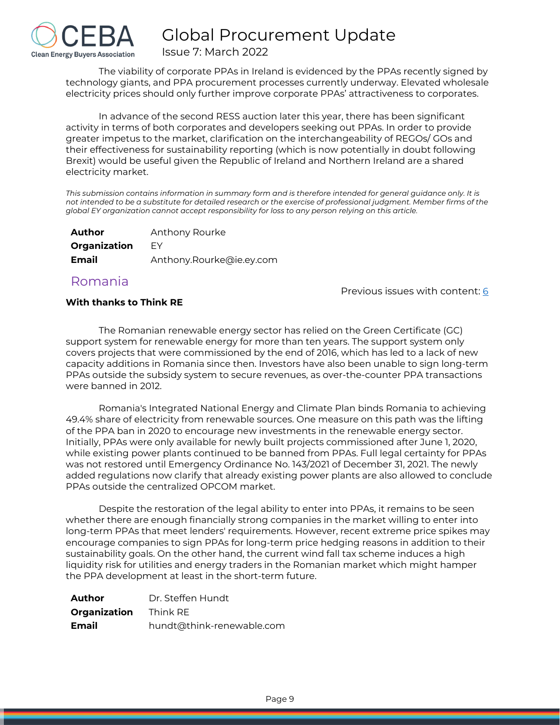

The viability of corporate PPAs in Ireland is evidenced by the PPAs recently signed by technology giants, and PPA procurement processes currently underway. Elevated wholesale electricity prices should only further improve corporate PPAs' attractiveness to corporates.

In advance of the second RESS auction later this year, there has been significant activity in terms of both corporates and developers seeking out PPAs. In order to provide greater impetus to the market, clarification on the interchangeability of REGOs/ GOs and their effectiveness for sustainability reporting (which is now potentially in doubt following Brexit) would be useful given the Republic of Ireland and Northern Ireland are a shared electricity market.

*This submission contains information in summary form and is therefore intended for general guidance only. It is not intended to be a substitute for detailed research or the exercise of professional judgment. Member firms of the global EY organization cannot accept responsibility for loss to any person relying on this article.*

| Author       | Anthony Rourke           |
|--------------|--------------------------|
| Organization | FY                       |
| Email        | Anthony.Rourke@ie.ey.com |

Romania

Previous issues with content: [6](https://cebuyers.org/wp-content/uploads/2021/12/Global-Procurement-Update-Issue-6.pdf)

### **With thanks to Think RE**

The Romanian renewable energy sector has relied on the Green Certificate (GC) support system for renewable energy for more than ten years. The support system only covers projects that were commissioned by the end of 2016, which has led to a lack of new capacity additions in Romania since then. Investors have also been unable to sign long-term PPAs outside the subsidy system to secure revenues, as over-the-counter PPA transactions were banned in 2012.

Romania's Integrated National Energy and Climate Plan binds Romania to achieving 49.4% share of electricity from renewable sources. One measure on this path was the lifting of the PPA ban in 2020 to encourage new investments in the renewable energy sector. Initially, PPAs were only available for newly built projects commissioned after June 1, 2020, while existing power plants continued to be banned from PPAs. Full legal certainty for PPAs was not restored until Emergency Ordinance No. 143/2021 of December 31, 2021. The newly added regulations now clarify that already existing power plants are also allowed to conclude PPAs outside the centralized OPCOM market.

Despite the restoration of the legal ability to enter into PPAs, it remains to be seen whether there are enough financially strong companies in the market willing to enter into long-term PPAs that meet lenders' requirements. However, recent extreme price spikes may encourage companies to sign PPAs for long-term price hedging reasons in addition to their sustainability goals. On the other hand, the current wind fall tax scheme induces a high liquidity risk for utilities and energy traders in the Romanian market which might hamper the PPA development at least in the short-term future.

| <b>Author</b>                | Dr. Steffen Hundt         |
|------------------------------|---------------------------|
| <b>Organization</b> Think RE |                           |
| <b>Email</b>                 | hundt@think-renewable.com |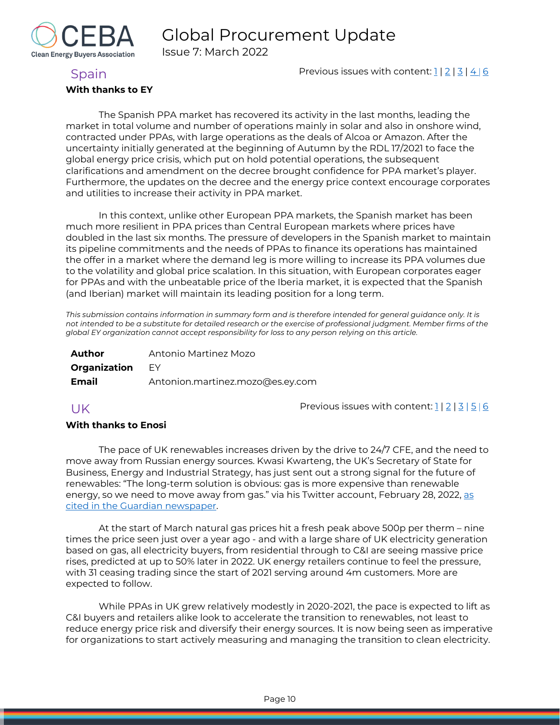

Issue 7: March 2022

### <span id="page-10-0"></span>Spain **Previous issues with content:** [1](https://reba2019dev.wpengine.com/wp-content/uploads/2020/02/REBA-CI-Procurement-Update_Feb-2020-1.pdf) [| 2](https://rebuyers.org/wp-content/uploads/2020/07/C_I_Procurement_Update_Issue_2.pdf) | [3](https://documentcloud.adobe.com/link/track?uri=urn:aaid:scds:US:6601ed7a-4da4-4e40-8b34-921171ec412a#pageNum=1) | [4](https://rebuyers.org/wp-content/uploads/2021/03/REBA_C_I_Procurement_Update_02_21.pdf) | [6](https://cebuyers.org/wp-content/uploads/2021/12/Global-Procurement-Update-Issue-6.pdf)

#### **With thanks to EY**

The Spanish PPA market has recovered its activity in the last months, leading the market in total volume and number of operations mainly in solar and also in onshore wind, contracted under PPAs, with large operations as the deals of Alcoa or Amazon. After the uncertainty initially generated at the beginning of Autumn by the RDL 17/2021 to face the global energy price crisis, which put on hold potential operations, the subsequent clarifications and amendment on the decree brought confidence for PPA market's player. Furthermore, the updates on the decree and the energy price context encourage corporates and utilities to increase their activity in PPA market.

In this context, unlike other European PPA markets, the Spanish market has been much more resilient in PPA prices than Central European markets where prices have doubled in the last six months. The pressure of developers in the Spanish market to maintain its pipeline commitments and the needs of PPAs to finance its operations has maintained the offer in a market where the demand leg is more willing to increase its PPA volumes due to the volatility and global price scalation. In this situation, with European corporates eager for PPAs and with the unbeatable price of the Iberia market, it is expected that the Spanish (and Iberian) market will maintain its leading position for a long term.

*This submission contains information in summary form and is therefore intended for general guidance only. It is not intended to be a substitute for detailed research or the exercise of professional judgment. Member firms of the global EY organization cannot accept responsibility for loss to any person relying on this article.*

| Author       | Antonio Martinez Mozo            |
|--------------|----------------------------------|
| Organization | EY E                             |
| Email        | Antonion.martinez.mozo@es.ey.com |

<span id="page-10-1"></span> $UK$  Previous issues with content:  $\frac{1}{2}$  |  $\frac{3}{5}$  |  $\frac{6}{6}$  $\frac{6}{6}$  $\frac{6}{6}$ 

#### **With thanks to Enosi**

The pace of UK renewables increases driven by the drive to 24/7 CFE, and the need to move away from Russian energy sources. Kwasi Kwarteng, the UK's Secretary of State for Business, Energy and Industrial Strategy, has just sent out a strong signal for the future of renewables: "The long-term solution is obvious: gas is more expensive than renewable energy, so we need to move away from gas." via his Twitter account, February 28, 2022, as [cited in the Guardian](https://www.theguardian.com/environment/2022/mar/04/ukraine-war-european-reappraisal-energy-supplies-coal-renewables) newspaper.

At the start of March natural gas prices hit a fresh peak above 500p per therm – nine times the price seen just over a year ago - and with a large share of UK electricity generation based on gas, all electricity buyers, from residential through to C&I are seeing massive price rises, predicted at up to 50% later in 2022. UK energy retailers continue to feel the pressure, with 31 ceasing trading since the start of 2021 serving around 4m customers. More are expected to follow.

While PPAs in UK grew relatively modestly in 2020-2021, the pace is expected to lift as C&I buyers and retailers alike look to accelerate the transition to renewables, not least to reduce energy price risk and diversify their energy sources. It is now being seen as imperative for organizations to start actively measuring and managing the transition to clean electricity.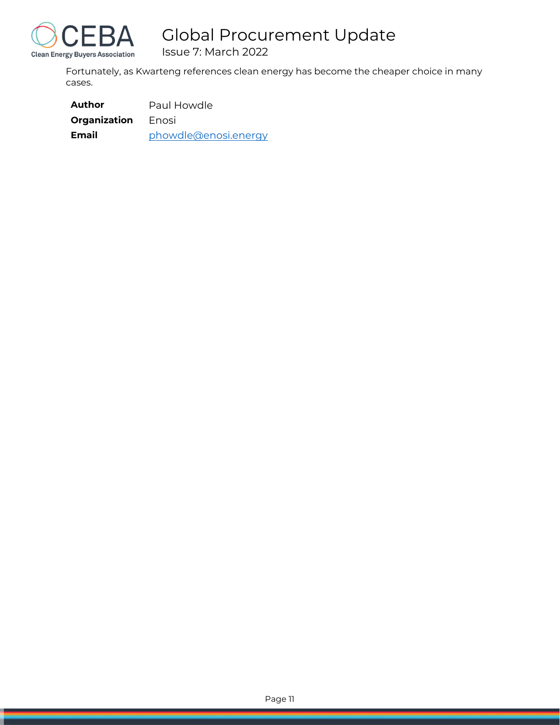

Issue 7: March 2022

Fortunately, as Kwarteng references clean energy has become the cheaper choice in many cases.

| Author       | Paul Howdle          |  |  |  |
|--------------|----------------------|--|--|--|
| Organization | Enosi                |  |  |  |
| Email        | phowdle@enosi.energy |  |  |  |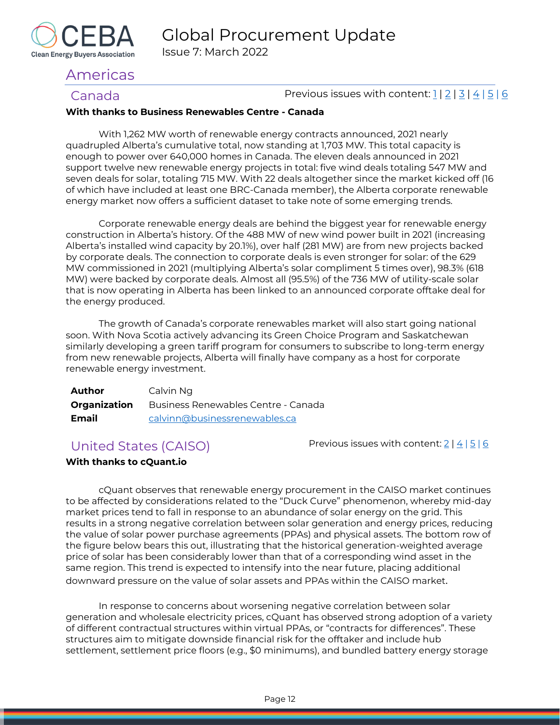

# <span id="page-12-0"></span>Americas

<span id="page-12-1"></span>Canada **Previous issues with content:**  $\frac{1}{2}$  |  $\frac{3}{4}$  |  $\frac{5}{6}$ 

### **With thanks to Business Renewables Centre - Canada**

With 1,262 MW worth of renewable energy contracts announced, 2021 nearly quadrupled Alberta's cumulative total, now standing at 1,703 MW. This total capacity is enough to power over 640,000 homes in Canada. The eleven deals announced in 2021 support twelve new renewable energy projects in total: five wind deals totaling 547 MW and seven deals for solar, totaling 715 MW. With 22 deals altogether since the market kicked off (16 of which have included at least one BRC-Canada member), the Alberta corporate renewable energy market now offers a sufficient dataset to take note of some emerging trends.

Corporate renewable energy deals are behind the biggest year for renewable energy construction in Alberta's history. Of the 488 MW of new wind power built in 2021 (increasing Alberta's installed wind capacity by 20.1%), over half (281 MW) are from new projects backed by corporate deals. The connection to corporate deals is even stronger for solar: of the 629 MW commissioned in 2021 (multiplying Alberta's solar compliment 5 times over), 98.3% (618 MW) were backed by corporate deals. Almost all (95.5%) of the 736 MW of utility-scale solar that is now operating in Alberta has been linked to an announced corporate offtake deal for the energy produced.

The growth of Canada's corporate renewables market will also start going national soon. With Nova Scotia actively advancing its Green Choice Program and Saskatchewan similarly developing a green tariff program for consumers to subscribe to long-term energy from new renewable projects, Alberta will finally have company as a host for corporate renewable energy investment.

| <b>Author</b> | Calvin Ng                                               |
|---------------|---------------------------------------------------------|
|               | <b>Organization</b> Business Renewables Centre - Canada |
| Email         | calvinn@businessrenewables.ca                           |

<span id="page-12-2"></span>United States (CAISO) Previous issues with content[: 2](https://rebuyers.org/wp-content/uploads/2020/07/C_I_Procurement_Update_Issue_2.pdf) | [4](https://rebuyers.org/wp-content/uploads/2021/03/REBA_C_I_Procurement_Update_02_21.pdf) | [5](https://cebuyers.org/wp-content/uploads/2021/07/C.I.Procurement.Update_Issue.5.pdf) | [6](https://cebuyers.org/wp-content/uploads/2021/12/Global-Procurement-Update-Issue-6.pdf)

### **With thanks to cQuant.io**

cQuant observes that renewable energy procurement in the CAISO market continues to be affected by considerations related to the "Duck Curve" phenomenon, whereby mid-day market prices tend to fall in response to an abundance of solar energy on the grid. This results in a strong negative correlation between solar generation and energy prices, reducing the value of solar power purchase agreements (PPAs) and physical assets. The bottom row of the figure below bears this out, illustrating that the historical generation-weighted average price of solar has been considerably lower than that of a corresponding wind asset in the same region. This trend is expected to intensify into the near future, placing additional downward pressure on the value of solar assets and PPAs within the CAISO market.

In response to concerns about worsening negative correlation between solar generation and wholesale electricity prices, cQuant has observed strong adoption of a variety of different contractual structures within virtual PPAs, or "contracts for differences". These structures aim to mitigate downside financial risk for the offtaker and include hub settlement, settlement price floors (e.g., \$0 minimums), and bundled battery energy storage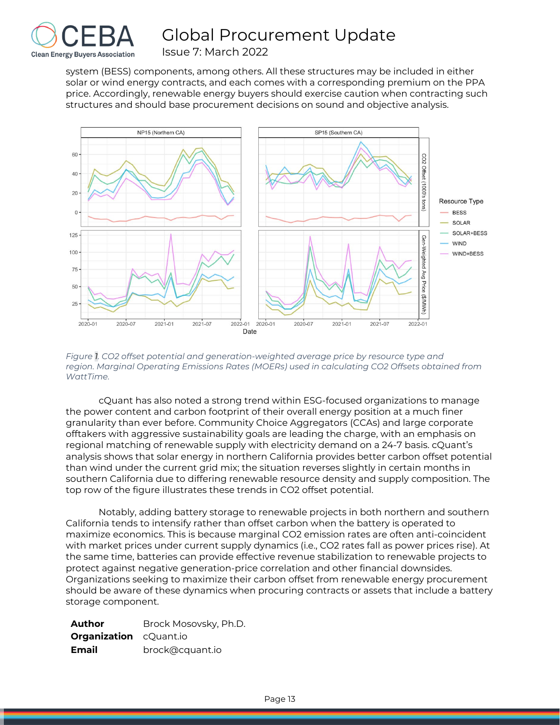

system (BESS) components, among others. All these structures may be included in either solar or wind energy contracts, and each comes with a corresponding premium on the PPA price. Accordingly, renewable energy buyers should exercise caution when contracting such structures and should base procurement decisions on sound and objective analysis.



*Figure 1. CO2 offset potential and generation-weighted average price by resource type and region. Marginal Operating Emissions Rates (MOERs) used in calculating CO2 Offsets obtained from WattTime.*

cQuant has also noted a strong trend within ESG-focused organizations to manage the power content and carbon footprint of their overall energy position at a much finer granularity than ever before. Community Choice Aggregators (CCAs) and large corporate offtakers with aggressive sustainability goals are leading the charge, with an emphasis on regional matching of renewable supply with electricity demand on a 24-7 basis. cQuant's analysis shows that solar energy in northern California provides better carbon offset potential than wind under the current grid mix; the situation reverses slightly in certain months in southern California due to differing renewable resource density and supply composition. The top row of the figure illustrates these trends in CO2 offset potential.

Notably, adding battery storage to renewable projects in both northern and southern California tends to intensify rather than offset carbon when the battery is operated to maximize economics. This is because marginal CO2 emission rates are often anti-coincident with market prices under current supply dynamics (i.e., CO2 rates fall as power prices rise). At the same time, batteries can provide effective revenue stabilization to renewable projects to protect against negative generation-price correlation and other financial downsides. Organizations seeking to maximize their carbon offset from renewable energy procurement should be aware of these dynamics when procuring contracts or assets that include a battery storage component.

| Author                        | Brock Mosovsky, Ph.D. |
|-------------------------------|-----------------------|
| <b>Organization</b> cQuant.io |                       |
| Email                         | brock@cquant.io       |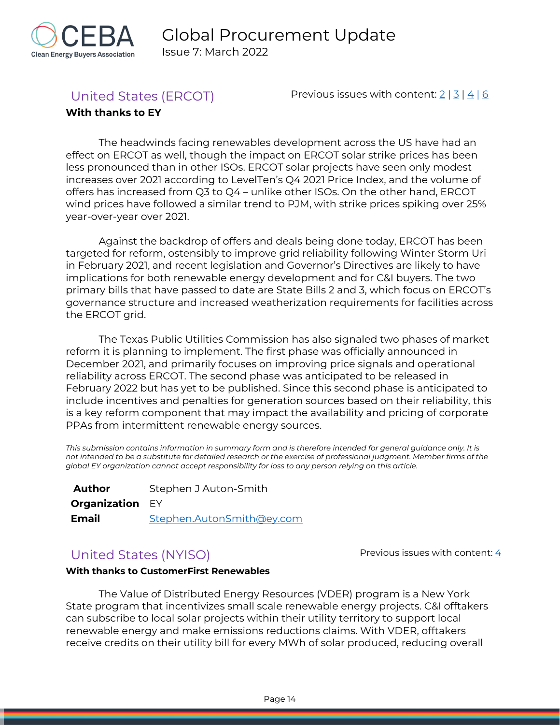

<span id="page-14-0"></span>United States (ERCOT) Previous issues with content:  $2 | 3 | 4 | 6$  $2 | 3 | 4 | 6$  $2 | 3 | 4 | 6$  $2 | 3 | 4 | 6$  $2 | 3 | 4 | 6$  $2 | 3 | 4 | 6$ 

### **With thanks to EY**

The headwinds facing renewables development across the US have had an effect on ERCOT as well, though the impact on ERCOT solar strike prices has been less pronounced than in other ISOs. ERCOT solar projects have seen only modest increases over 2021 according to LevelTen's Q4 2021 Price Index, and the volume of offers has increased from Q3 to Q4 – unlike other ISOs. On the other hand, ERCOT wind prices have followed a similar trend to PJM, with strike prices spiking over 25% year-over-year over 2021.

Against the backdrop of offers and deals being done today, ERCOT has been targeted for reform, ostensibly to improve grid reliability following Winter Storm Uri in February 2021, and recent legislation and Governor's Directives are likely to have implications for both renewable energy development and for C&I buyers. The two primary bills that have passed to date are State Bills 2 and 3, which focus on ERCOT's governance structure and increased weatherization requirements for facilities across the ERCOT grid.

The Texas Public Utilities Commission has also signaled two phases of market reform it is planning to implement. The first phase was officially announced in December 2021, and primarily focuses on improving price signals and operational reliability across ERCOT. The second phase was anticipated to be released in February 2022 but has yet to be published. Since this second phase is anticipated to include incentives and penalties for generation sources based on their reliability, this is a key reform component that may impact the availability and pricing of corporate PPAs from intermittent renewable energy sources.

*This submission contains information in summary form and is therefore intended for general guidance only. It is not intended to be a substitute for detailed research or the exercise of professional judgment. Member firms of the global EY organization cannot accept responsibility for loss to any person relying on this article.*

| Author                 | Stephen J Auton-Smith     |  |  |  |  |
|------------------------|---------------------------|--|--|--|--|
| <b>Organization EY</b> |                           |  |  |  |  |
| <b>Email</b>           | Stephen.AutonSmith@ey.com |  |  |  |  |

# <span id="page-14-1"></span>United States (NYISO)  $\rho$  Previous issues with content:  $\frac{4}{3}$

### **With thanks to CustomerFirst Renewables**

The Value of Distributed Energy Resources (VDER) program is a New York State program that incentivizes small scale renewable energy projects. C&I offtakers can subscribe to local solar projects within their utility territory to support local renewable energy and make emissions reductions claims. With VDER, offtakers receive credits on their utility bill for every MWh of solar produced, reducing overall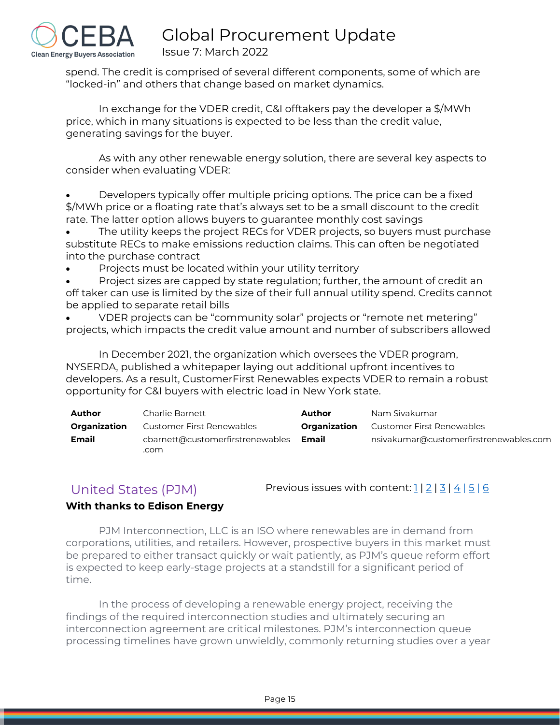

spend. The credit is comprised of several different components, some of which are "locked-in" and others that change based on market dynamics.

In exchange for the VDER credit, C&I offtakers pay the developer a \$/MWh price, which in many situations is expected to be less than the credit value, generating savings for the buyer.

As with any other renewable energy solution, there are several key aspects to consider when evaluating VDER:

• Developers typically offer multiple pricing options. The price can be a fixed \$/MWh price or a floating rate that's always set to be a small discount to the credit rate. The latter option allows buyers to guarantee monthly cost savings

The utility keeps the project RECs for VDER projects, so buyers must purchase substitute RECs to make emissions reduction claims. This can often be negotiated into the purchase contract

Projects must be located within your utility territory

Project sizes are capped by state regulation; further, the amount of credit an off taker can use is limited by the size of their full annual utility spend. Credits cannot be applied to separate retail bills

• VDER projects can be "community solar" projects or "remote net metering" projects, which impacts the credit value amount and number of subscribers allowed

In December 2021, the organization which oversees the VDER program, NYSERDA, published a whitepaper laying out additional upfront incentives to developers. As a result, CustomerFirst Renewables expects VDER to remain a robust opportunity for C&I buyers with electric load in New York state.

| Author              | Charlie Barnett                          | Author       | Nam Sivakumar                          |
|---------------------|------------------------------------------|--------------|----------------------------------------|
| <b>Organization</b> | Customer First Renewables                | Organization | Customer First Renewables              |
| Email               | cbarnett@customerfirstrenewables<br>.com | Email        | nsivakumar@customerfirstrenewables.com |

<span id="page-15-0"></span>United States (PJM) Previous issues with content:  $1/2/3/4/5/6$  $1/2/3/4/5/6$  $1/2/3/4/5/6$ 

## **With thanks to Edison Energy**

PJM Interconnection, LLC is an ISO where renewables are in demand from corporations, utilities, and retailers. However, prospective buyers in this market must be prepared to either transact quickly or wait patiently, as PJM's queue reform effort is expected to keep early-stage projects at a standstill for a significant period of time.

In the process of developing a renewable energy project, receiving the findings of the required interconnection studies and ultimately securing an interconnection agreement are critical milestones. PJM's interconnection queue processing timelines have grown unwieldly, commonly returning studies over a year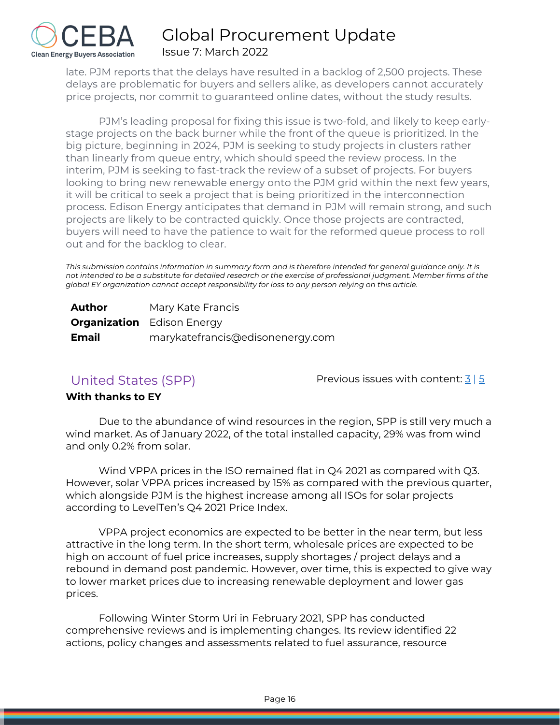

late. PJM reports that the delays have resulted in a backlog of 2,500 projects. These delays are problematic for buyers and sellers alike, as developers cannot accurately price projects, nor commit to guaranteed online dates, without the study results.

PJM's leading proposal for fixing this issue is two-fold, and likely to keep earlystage projects on the back burner while the front of the queue is prioritized. In the big picture, beginning in 2024, PJM is seeking to study projects in clusters rather than linearly from queue entry, which should speed the review process. In the interim, PJM is seeking to fast-track the review of a subset of projects. For buyers looking to bring new renewable energy onto the PJM grid within the next few years, it will be critical to seek a project that is being prioritized in the interconnection process. Edison Energy anticipates that demand in PJM will remain strong, and such projects are likely to be contracted quickly. Once those projects are contracted, buyers will need to have the patience to wait for the reformed queue process to roll out and for the backlog to clear.

*This submission contains information in summary form and is therefore intended for general guidance only. It is not intended to be a substitute for detailed research or the exercise of professional judgment. Member firms of the global EY organization cannot accept responsibility for loss to any person relying on this article.*

| Author | Mary Kate Francis                 |
|--------|-----------------------------------|
|        | <b>Organization</b> Edison Energy |
| Email  | marykatefrancis@edisonenergy.com  |

<span id="page-16-0"></span>United States (SPP)  $\overline{3}$  Previous issues with content:  $\frac{3}{5}$  $\frac{3}{5}$  $\frac{3}{5}$ 

### **With thanks to EY**

Due to the abundance of wind resources in the region, SPP is still very much a wind market. As of January 2022, of the total installed capacity, 29% was from wind and only 0.2% from solar.

Wind VPPA prices in the ISO remained flat in Q4 2021 as compared with Q3. However, solar VPPA prices increased by 15% as compared with the previous quarter, which alongside PJM is the highest increase among all ISOs for solar projects according to LevelTen's Q4 2021 Price Index.

VPPA project economics are expected to be better in the near term, but less attractive in the long term. In the short term, wholesale prices are expected to be high on account of fuel price increases, supply shortages / project delays and a rebound in demand post pandemic. However, over time, this is expected to give way to lower market prices due to increasing renewable deployment and lower gas prices.

Following Winter Storm Uri in February 2021, SPP has conducted comprehensive reviews and is implementing changes. Its review identified 22 actions, policy changes and assessments related to fuel assurance, resource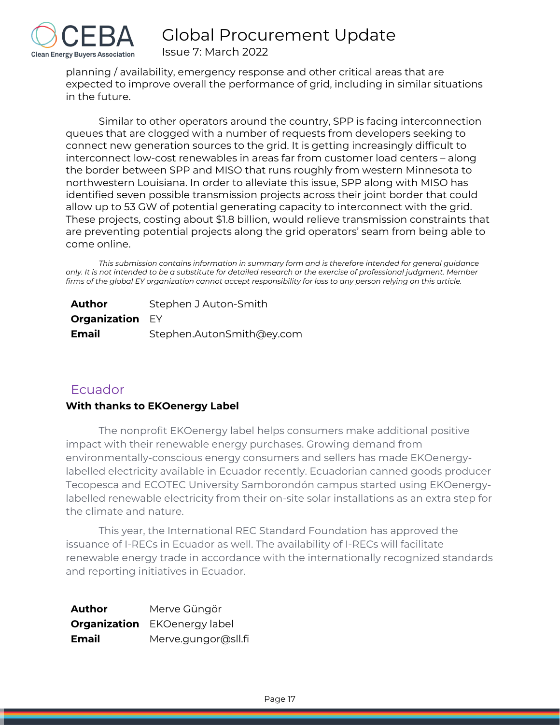

planning / availability, emergency response and other critical areas that are expected to improve overall the performance of grid, including in similar situations in the future.

Similar to other operators around the country, SPP is facing interconnection queues that are clogged with a number of requests from developers seeking to connect new generation sources to the grid. It is getting increasingly difficult to interconnect low-cost renewables in areas far from customer load centers – along the border between SPP and MISO that runs roughly from western Minnesota to northwestern Louisiana. In order to alleviate this issue, SPP along with MISO has identified seven possible transmission projects across their joint border that could allow up to 53 GW of potential generating capacity to interconnect with the grid. These projects, costing about \$1.8 billion, would relieve transmission constraints that are preventing potential projects along the grid operators' seam from being able to come online.

*This submission contains information in summary form and is therefore intended for general guidance only. It is not intended to be a substitute for detailed research or the exercise of professional judgment. Member firms of the global EY organization cannot accept responsibility for loss to any person relying on this article.*

| Author                 | Stephen J Auton-Smith     |  |  |  |  |
|------------------------|---------------------------|--|--|--|--|
| <b>Organization EY</b> |                           |  |  |  |  |
| <b>Email</b>           | Stephen.AutonSmith@ey.com |  |  |  |  |

# <span id="page-17-0"></span>**Ecuador**

### **With thanks to EKOenergy Label**

The nonprofit EKOenergy label helps consumers make additional positive impact with their renewable energy purchases. Growing demand from environmentally-conscious energy consumers and sellers has made EKOenergylabelled electricity available in Ecuador recently. Ecuadorian canned goods producer Tecopesca and ECOTEC University Samborondón campus started using EKOenergylabelled renewable electricity from their on-site solar installations as an extra step for the climate and nature.

This year, the International REC Standard Foundation has approved the issuance of I-RECs in Ecuador as well. The availability of I-RECs will facilitate renewable energy trade in accordance with the internationally recognized standards and reporting initiatives in Ecuador.

| <b>Author</b> | Merve Güngör                        |
|---------------|-------------------------------------|
|               | <b>Organization</b> EKOenergy label |
| Email         | Merve.gungor@sll.fi                 |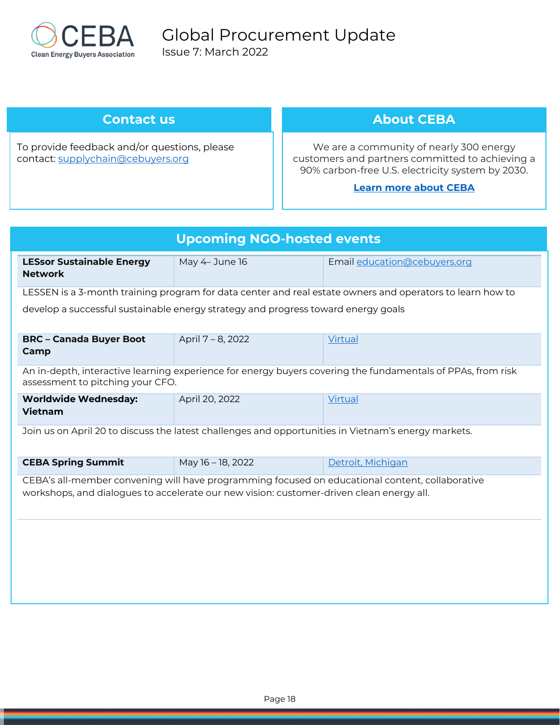

# <span id="page-18-0"></span>**Contact us**

To provide feedback and/or questions, please contact: [supplychain@cebuyers.org](mailto:supplychain@cebuyers.org)

# **About CEBA**

We are a community of nearly 300 energy customers and partners committed to achieving a 90% carbon-free U.S. electricity system by 2030.

### **[Learn more about CEBA](https://cebuyers.org/)**

| <b>Upcoming NGO-hosted events</b>                                                                                                                                                           |                                                                                   |                                                                                                             |  |  |  |
|---------------------------------------------------------------------------------------------------------------------------------------------------------------------------------------------|-----------------------------------------------------------------------------------|-------------------------------------------------------------------------------------------------------------|--|--|--|
| <b>LESsor Sustainable Energy</b><br><b>Network</b>                                                                                                                                          | May 4-June 16                                                                     | Email education@cebuyers.org                                                                                |  |  |  |
|                                                                                                                                                                                             |                                                                                   | LESSEN is a 3-month training program for data center and real estate owners and operators to learn how to   |  |  |  |
|                                                                                                                                                                                             | develop a successful sustainable energy strategy and progress toward energy goals |                                                                                                             |  |  |  |
| <b>BRC - Canada Buyer Boot</b><br>Camp                                                                                                                                                      | April 7 - 8, 2022                                                                 | Virtual                                                                                                     |  |  |  |
| assessment to pitching your CFO.                                                                                                                                                            |                                                                                   | An in-depth, interactive learning experience for energy buyers covering the fundamentals of PPAs, from risk |  |  |  |
| <b>Worldwide Wednesday:</b><br><b>Vietnam</b>                                                                                                                                               | April 20, 2022                                                                    | Virtual                                                                                                     |  |  |  |
| Join us on April 20 to discuss the latest challenges and opportunities in Vietnam's energy markets.                                                                                         |                                                                                   |                                                                                                             |  |  |  |
| <b>CEBA Spring Summit</b>                                                                                                                                                                   | May 16 - 18, 2022                                                                 | Detroit, Michigan                                                                                           |  |  |  |
| CEBA's all-member convening will have programming focused on educational content, collaborative<br>workshops, and dialogues to accelerate our new vision: customer-driven clean energy all. |                                                                                   |                                                                                                             |  |  |  |
|                                                                                                                                                                                             |                                                                                   |                                                                                                             |  |  |  |
|                                                                                                                                                                                             |                                                                                   |                                                                                                             |  |  |  |
|                                                                                                                                                                                             |                                                                                   |                                                                                                             |  |  |  |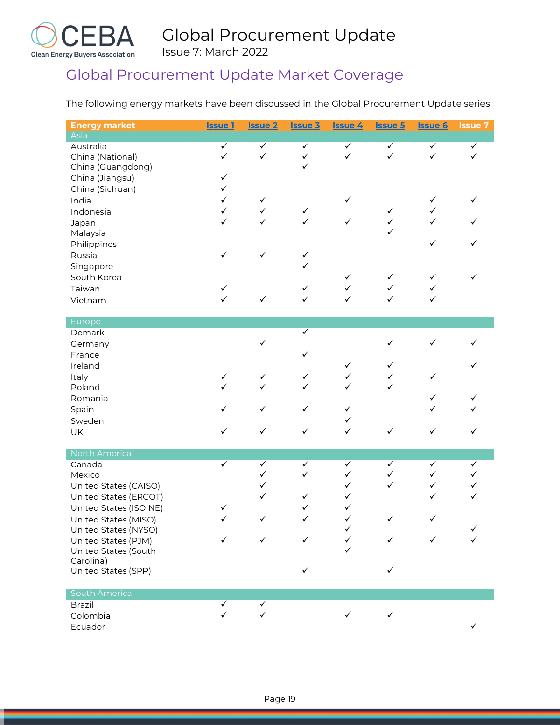

# Global Procurement Update Market Coverage

The following energy markets have been discussed in the Global Procurement Update series

| <b>Energy market</b>             | <b>Issue 1</b>               | <u>Issue 2</u>               | <b>Issue 3</b>               | <b>Issue 4</b>               | <b>Issue 5</b>    | <b>Issue 6</b>               | <b>Issue 7</b> |
|----------------------------------|------------------------------|------------------------------|------------------------------|------------------------------|-------------------|------------------------------|----------------|
| Asia                             |                              |                              |                              |                              |                   |                              |                |
| Australia                        | $\checkmark$                 | $\checkmark$                 | $\checkmark$                 | $\checkmark$                 | $\checkmark$      | $\checkmark$                 | $\checkmark$   |
| China (National)                 | $\checkmark$                 | $\checkmark$                 | $\checkmark$<br>$\checkmark$ | $\checkmark$                 | $\checkmark$      | $\checkmark$                 |                |
| China (Guangdong)                |                              |                              |                              |                              |                   |                              |                |
| China (Jiangsu)                  | $\checkmark$<br>$\checkmark$ |                              |                              |                              |                   |                              |                |
| China (Sichuan)                  | $\checkmark$                 |                              |                              |                              |                   |                              | ✓              |
| India                            | $\checkmark$                 | $\checkmark$<br>$\checkmark$ |                              | $\checkmark$                 | $\checkmark$      | $\checkmark$<br>$\checkmark$ |                |
| Indonesia                        | ✓                            | ✓                            | $\checkmark$<br>✓            | $\checkmark$                 | $\checkmark$      | $\checkmark$                 |                |
| Japan<br>Malaysia                |                              |                              |                              |                              | $\checkmark$      |                              |                |
| Philippines                      |                              |                              |                              |                              |                   | $\checkmark$                 | ✓              |
| Russia                           | $\checkmark$                 | $\checkmark$                 | $\checkmark$                 |                              |                   |                              |                |
| Singapore                        |                              |                              | ✓                            |                              |                   |                              |                |
| South Korea                      |                              |                              |                              | $\checkmark$                 | $\checkmark$      | $\checkmark$                 | ✓              |
| Taiwan                           | ✓                            |                              | ✓                            | $\checkmark$                 | $\checkmark$      | ✓                            |                |
| Vietnam                          | ✓                            | $\checkmark$                 | ✓                            | ✓                            | ✓                 | ✓                            |                |
|                                  |                              |                              |                              |                              |                   |                              |                |
| Europe                           |                              |                              |                              |                              |                   |                              |                |
| Demark                           |                              |                              | ✓                            |                              |                   |                              |                |
| Germany                          |                              | $\checkmark$                 |                              |                              | $\checkmark$      | ✓                            |                |
| France                           |                              |                              | ✓                            |                              |                   |                              |                |
| Ireland                          |                              |                              |                              | ✓                            | ✓                 |                              |                |
| Italy                            | ✓<br>$\checkmark$            | ✓<br>$\checkmark$            | ✓                            | $\checkmark$<br>$\checkmark$ | ✓<br>$\checkmark$ | ✓                            |                |
| Poland                           |                              |                              | ✓                            |                              |                   |                              |                |
| Romania                          |                              |                              |                              |                              |                   | ✓                            |                |
| Spain                            | ✓                            | $\checkmark$                 | $\checkmark$                 | $\checkmark$                 |                   | ✓                            |                |
| Sweden                           |                              |                              |                              | ✓<br>$\checkmark$            |                   |                              |                |
| UK                               | ✓                            | $\checkmark$                 | ✓                            |                              | ✓                 | ✓                            | ✓              |
| North America                    |                              |                              |                              |                              |                   |                              |                |
| Canada                           | ✓                            | $\checkmark$                 | ✓                            | $\checkmark$                 | ✓                 | ✓                            | ✓              |
| Mexico                           |                              | $\checkmark$                 | ✓                            | $\checkmark$                 | $\checkmark$      | $\checkmark$                 | ✓              |
| United States (CAISO)            |                              | ✓                            |                              | $\checkmark$                 | $\checkmark$      | $\checkmark$                 | ✓              |
| United States (ERCOT)            |                              | $\checkmark$                 | ✓                            | ✓                            |                   | ✓                            | $\checkmark$   |
| United States (ISO NE)           | ✓                            |                              | ✓                            | ✓                            |                   |                              |                |
| United States (MISO)             | $\checkmark$                 | $\checkmark$                 | $\checkmark$                 | $\checkmark$                 | $\checkmark$      | $\checkmark$                 | ∕              |
| United States (NYSO)             |                              |                              |                              |                              |                   |                              |                |
| United States (PJM)              |                              |                              |                              |                              | ✓                 |                              |                |
| United States (South             |                              |                              |                              |                              |                   |                              |                |
| Carolina)<br>United States (SPP) |                              |                              |                              |                              | ✓                 |                              |                |
|                                  |                              |                              |                              |                              |                   |                              |                |
| South America                    |                              |                              |                              |                              |                   |                              |                |
| <b>Brazil</b>                    |                              | ✓                            |                              |                              |                   |                              |                |
| Colombia                         |                              | $\checkmark$                 |                              | $\checkmark$                 | $\checkmark$      |                              |                |
| Ecuador                          |                              |                              |                              |                              |                   |                              |                |